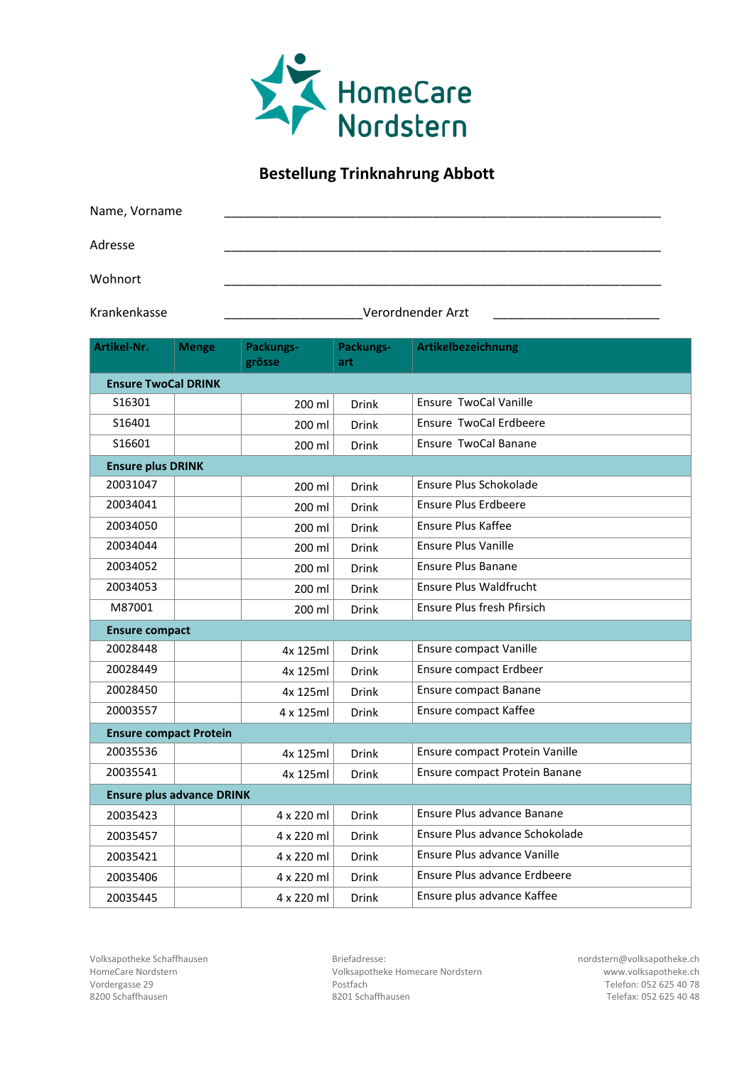

## **Bestellung Trinknahrung Abbott**

| Name, Vorname |  |  |  |
|---------------|--|--|--|
| Adresse       |  |  |  |
| Wohnort       |  |  |  |

Krankenkasse \_\_\_\_\_\_\_\_\_\_\_\_\_\_\_\_\_\_\_\_Verordnender Arzt \_\_\_\_\_\_\_\_\_\_\_\_\_\_\_\_\_\_\_\_\_\_\_\_

| Artikel-Nr.                      | <b>Menge</b>             | Packungs-<br>grösse | Packungs-<br>art | Artikelbezeichnung             |  |  |
|----------------------------------|--------------------------|---------------------|------------------|--------------------------------|--|--|
| <b>Ensure TwoCal DRINK</b>       |                          |                     |                  |                                |  |  |
| S16301                           |                          | 200 ml              | <b>Drink</b>     | Ensure TwoCal Vanille          |  |  |
| S16401                           |                          | 200 ml              | Drink            | Ensure TwoCal Erdbeere         |  |  |
| S16601                           |                          | 200 ml              | <b>Drink</b>     | Ensure TwoCal Banane           |  |  |
|                                  | <b>Ensure plus DRINK</b> |                     |                  |                                |  |  |
| 20031047                         |                          | 200 ml              | Drink            | Ensure Plus Schokolade         |  |  |
| 20034041                         |                          | 200 ml              | <b>Drink</b>     | <b>Ensure Plus Erdbeere</b>    |  |  |
| 20034050                         |                          | 200 ml              | <b>Drink</b>     | Ensure Plus Kaffee             |  |  |
| 20034044                         |                          | 200 ml              | <b>Drink</b>     | <b>Ensure Plus Vanille</b>     |  |  |
| 20034052                         |                          | 200 ml              | <b>Drink</b>     | <b>Ensure Plus Banane</b>      |  |  |
| 20034053                         |                          | 200 ml              | <b>Drink</b>     | Ensure Plus Waldfrucht         |  |  |
| M87001                           |                          | 200 ml              | <b>Drink</b>     | Ensure Plus fresh Pfirsich     |  |  |
| <b>Ensure compact</b>            |                          |                     |                  |                                |  |  |
| 20028448                         |                          | 4x 125ml            | Drink            | <b>Ensure compact Vanille</b>  |  |  |
| 20028449                         |                          | 4x 125ml            | <b>Drink</b>     | Ensure compact Erdbeer         |  |  |
| 20028450                         |                          | 4x 125ml            | <b>Drink</b>     | <b>Ensure compact Banane</b>   |  |  |
| 20003557                         |                          | 4 x 125ml           | <b>Drink</b>     | Ensure compact Kaffee          |  |  |
| <b>Ensure compact Protein</b>    |                          |                     |                  |                                |  |  |
| 20035536                         |                          | 4x 125ml            | <b>Drink</b>     | Ensure compact Protein Vanille |  |  |
| 20035541                         |                          | 4x 125ml            | <b>Drink</b>     | Ensure compact Protein Banane  |  |  |
| <b>Ensure plus advance DRINK</b> |                          |                     |                  |                                |  |  |
| 20035423                         |                          | 4 x 220 ml          | <b>Drink</b>     | Ensure Plus advance Banane     |  |  |
| 20035457                         |                          | 4 x 220 ml          | <b>Drink</b>     | Ensure Plus advance Schokolade |  |  |
| 20035421                         |                          | 4 x 220 ml          | <b>Drink</b>     | Ensure Plus advance Vanille    |  |  |
| 20035406                         |                          | 4 x 220 ml          | <b>Drink</b>     | Ensure Plus advance Erdbeere   |  |  |
| 20035445                         |                          | 4 x 220 ml          | Drink            | Ensure plus advance Kaffee     |  |  |

Volksapotheke Schaffhausen Briefadresse: nordstern@volksapotheke.ch HomeCare Nordstern **HomeCare Nordstern** Volksapotheke Homecare Nordstern www.volksapotheke.ch<br>Vordergasse 29 **Postfach** Postfach Postfach Vordergasse 29 Postfach Telefon: 052 625 40 78 8200 Schaffhausen 8201 Schaffhausen Telefax: 052 625 40 48